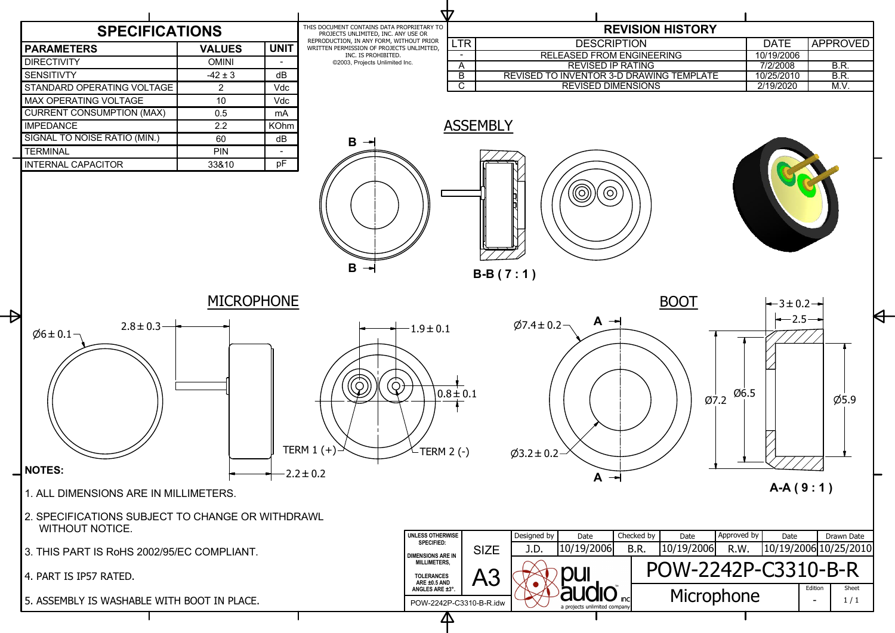